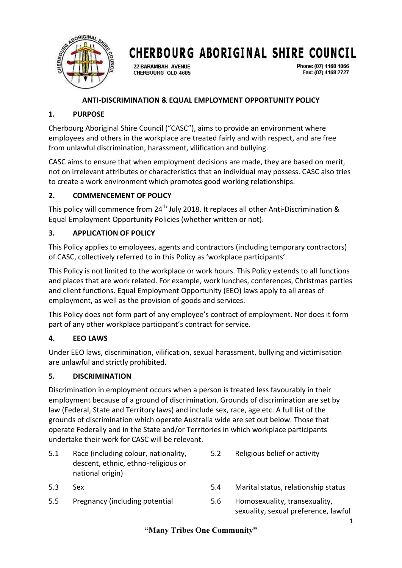

22 BARAMBAH AVENUE CHERBOURG OLD 4605 Phone: (07) 4168 1866 Fax: (07) 4168 2727

## **ANTI-DISCRIMINATION & EQUAL EMPLOYMENT OPPORTUNITY POLICY**

### **1. PURPOSE**

Cherbourg Aboriginal Shire Council ("CASC"), aims to provide an environment where employees and others in the workplace are treated fairly and with respect, and are free from unlawful discrimination, harassment, vilification and bullying.

CASC aims to ensure that when employment decisions are made, they are based on merit, not on irrelevant attributes or characteristics that an individual may possess. CASC also tries to create a work environment which promotes good working relationships.

## **2. COMMENCEMENT OF POLICY**

This policy will commence from  $24<sup>th</sup>$  July 2018. It replaces all other Anti-Discrimination & Equal Employment Opportunity Policies (whether written or not).

## **3. APPLICATION OF POLICY**

This Policy applies to employees, agents and contractors (including temporary contractors) of CASC, collectively referred to in this Policy as 'workplace participants'.

This Policy is not limited to the workplace or work hours. This Policy extends to all functions and places that are work related. For example, work lunches, conferences, Christmas parties and client functions. Equal Employment Opportunity (EEO) laws apply to all areas of employment, as well as the provision of goods and services.

This Policy does not form part of any employee's contract of employment. Nor does it form part of any other workplace participant's contract for service.

### **4. EEO LAWS**

Under EEO laws, discrimination, vilification, sexual harassment, bullying and victimisation are unlawful and strictly prohibited.

### **5. DISCRIMINATION**

Discrimination in employment occurs when a person is treated less favourably in their employment because of a ground of discrimination. Grounds of discrimination are set by law (Federal, State and Territory laws) and include sex, race, age etc. A full list of the grounds of discrimination which operate Australia wide are set out below. Those that operate Federally and in the State and/or Territories in which workplace participants undertake their work for CASC will be relevant.

- 5.1 Race (including colour, nationality, descent, ethnic, ethno-religious or national origin)
- 
- 5.5 Pregnancy (including potential 5.6 Homosexuality, transexuality,
- 5.2 Religious belief or activity
- 5.3 Sex 5.4 Marital status, relationship status
	- sexuality, sexual preference, lawful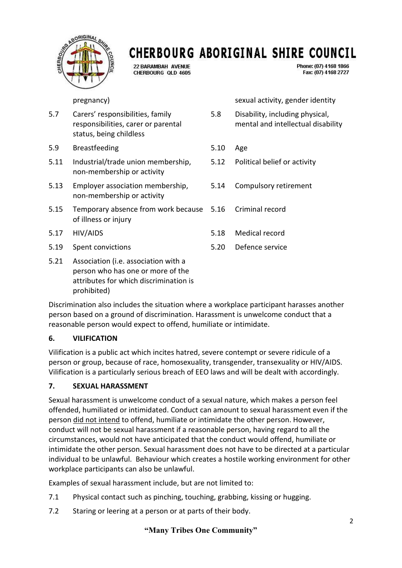

22 BARAMBAH AVENUE CHERBOURG OLD 4605 Phone: (07) 4168 1866 Fax: (07) 4168 2727

- 5.7 Carers' responsibilities, family responsibilities, carer or parental status, being childless
- 5.9 Breastfeeding 5.10 Age
- 5.11 Industrial/trade union membership, non-membership or activity
- 5.13 Employer association membership, non-membership or activity
- 5.15 Temporary absence from work because of illness or injury
- 
- 5.19 Spent convictions 5.20 Defence service
- 5.21 Association (i.e. association with a person who has one or more of the attributes for which discrimination is prohibited)

pregnancy) sexual activity, gender identity

- 5.8 Disability, including physical, mental and intellectual disability
- 
- 5.12 Political belief or activity
- 5.14 Compulsory retirement
- 5.16 Criminal record
- 5.17 HIV/AIDS 5.18 Medical record
	-

Discrimination also includes the situation where a workplace participant harasses another person based on a ground of discrimination. Harassment is unwelcome conduct that a reasonable person would expect to offend, humiliate or intimidate.

### **6. VILIFICATION**

Vilification is a public act which incites hatred, severe contempt or severe ridicule of a person or group, because of race, homosexuality, transgender, transexuality or HIV/AIDS. Vilification is a particularly serious breach of EEO laws and will be dealt with accordingly.

## **7. SEXUAL HARASSMENT**

Sexual harassment is unwelcome conduct of a sexual nature, which makes a person feel offended, humiliated or intimidated. Conduct can amount to sexual harassment even if the person did not intend to offend, humiliate or intimidate the other person. However, conduct will not be sexual harassment if a reasonable person, having regard to all the circumstances, would not have anticipated that the conduct would offend, humiliate or intimidate the other person. Sexual harassment does not have to be directed at a particular individual to be unlawful. Behaviour which creates a hostile working environment for other workplace participants can also be unlawful.

Examples of sexual harassment include, but are not limited to:

- 7.1 Physical contact such as pinching, touching, grabbing, kissing or hugging.
- 7.2 Staring or leering at a person or at parts of their body.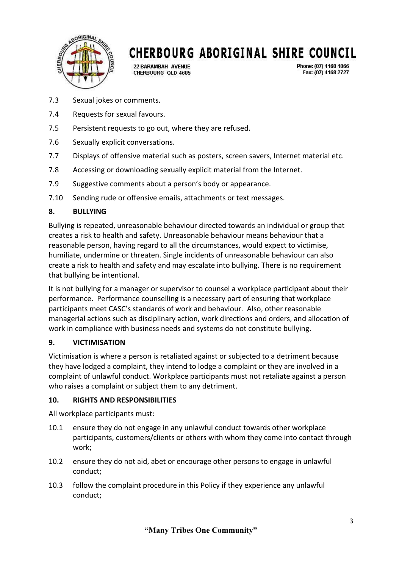

22 BARAMBAH AVENUE CHERBOURG OLD 4605 Phone: (07) 4168 1866 Fax: (07) 4168 2727

- 7.3 Sexual jokes or comments.
- 7.4 Requests for sexual favours.
- 7.5 Persistent requests to go out, where they are refused.
- 7.6 Sexually explicit conversations.
- 7.7 Displays of offensive material such as posters, screen savers, Internet material etc.
- 7.8 Accessing or downloading sexually explicit material from the Internet.
- 7.9 Suggestive comments about a person's body or appearance.
- 7.10 Sending rude or offensive emails, attachments or text messages.

## **8. BULLYING**

Bullying is repeated, unreasonable behaviour directed towards an individual or group that creates a risk to health and safety. Unreasonable behaviour means behaviour that a reasonable person, having regard to all the circumstances, would expect to victimise, humiliate, undermine or threaten. Single incidents of unreasonable behaviour can also create a risk to health and safety and may escalate into bullying. There is no requirement that bullying be intentional.

It is not bullying for a manager or supervisor to counsel a workplace participant about their performance. Performance counselling is a necessary part of ensuring that workplace participants meet CASC's standards of work and behaviour. Also, other reasonable managerial actions such as disciplinary action, work directions and orders, and allocation of work in compliance with business needs and systems do not constitute bullying.

### **9. VICTIMISATION**

Victimisation is where a person is retaliated against or subjected to a detriment because they have lodged a complaint, they intend to lodge a complaint or they are involved in a complaint of unlawful conduct. Workplace participants must not retaliate against a person who raises a complaint or subject them to any detriment.

## **10. RIGHTS AND RESPONSIBILITIES**

All workplace participants must:

- 10.1 ensure they do not engage in any unlawful conduct towards other workplace participants, customers/clients or others with whom they come into contact through work;
- 10.2 ensure they do not aid, abet or encourage other persons to engage in unlawful conduct;
- 10.3 follow the complaint procedure in this Policy if they experience any unlawful conduct;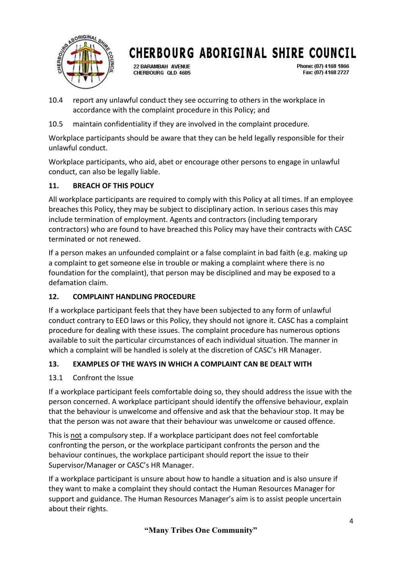

22 BARAMBAH AVENUE CHERBOURG OLD 4605 Phone: (07) 4168 1866 Fax: (07) 4168 2727

- 10.4 report any unlawful conduct they see occurring to others in the workplace in accordance with the complaint procedure in this Policy; and
- 10.5 maintain confidentiality if they are involved in the complaint procedure.

Workplace participants should be aware that they can be held legally responsible for their unlawful conduct.

Workplace participants, who aid, abet or encourage other persons to engage in unlawful conduct, can also be legally liable.

## **11. BREACH OF THIS POLICY**

All workplace participants are required to comply with this Policy at all times. If an employee breaches this Policy, they may be subject to disciplinary action. In serious cases this may include termination of employment. Agents and contractors (including temporary contractors) who are found to have breached this Policy may have their contracts with CASC terminated or not renewed.

If a person makes an unfounded complaint or a false complaint in bad faith (e.g. making up a complaint to get someone else in trouble or making a complaint where there is no foundation for the complaint), that person may be disciplined and may be exposed to a defamation claim.

## **12. COMPLAINT HANDLING PROCEDURE**

If a workplace participant feels that they have been subjected to any form of unlawful conduct contrary to EEO laws or this Policy, they should not ignore it. CASC has a complaint procedure for dealing with these issues. The complaint procedure has numerous options available to suit the particular circumstances of each individual situation. The manner in which a complaint will be handled is solely at the discretion of CASC's HR Manager.

## **13. EXAMPLES OF THE WAYS IN WHICH A COMPLAINT CAN BE DEALT WITH**

## 13.1 Confront the Issue

If a workplace participant feels comfortable doing so, they should address the issue with the person concerned. A workplace participant should identify the offensive behaviour, explain that the behaviour is unwelcome and offensive and ask that the behaviour stop. It may be that the person was not aware that their behaviour was unwelcome or caused offence.

This is not a compulsory step. If a workplace participant does not feel comfortable confronting the person, or the workplace participant confronts the person and the behaviour continues, the workplace participant should report the issue to their Supervisor/Manager or CASC's HR Manager.

If a workplace participant is unsure about how to handle a situation and is also unsure if they want to make a complaint they should contact the Human Resources Manager for support and guidance. The Human Resources Manager's aim is to assist people uncertain about their rights.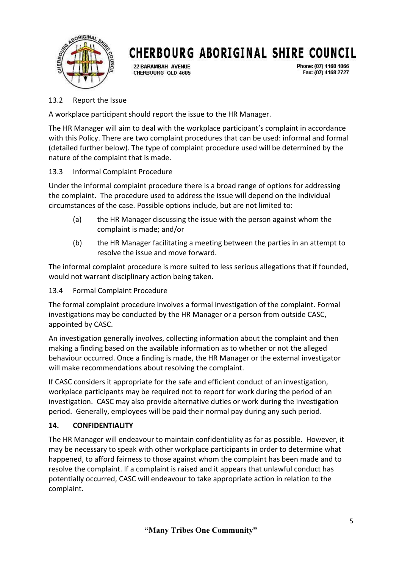

22 BARAMBAH AVENUE CHERBOURG QLD 4605 Phone: (07) 4168 1866 Fax: (07) 4168 2727

### 13.2 Report the Issue

A workplace participant should report the issue to the HR Manager.

The HR Manager will aim to deal with the workplace participant's complaint in accordance with this Policy. There are two complaint procedures that can be used: informal and formal (detailed further below). The type of complaint procedure used will be determined by the nature of the complaint that is made.

## 13.3 Informal Complaint Procedure

Under the informal complaint procedure there is a broad range of options for addressing the complaint. The procedure used to address the issue will depend on the individual circumstances of the case. Possible options include, but are not limited to:

- (a) the HR Manager discussing the issue with the person against whom the complaint is made; and/or
- (b) the HR Manager facilitating a meeting between the parties in an attempt to resolve the issue and move forward.

The informal complaint procedure is more suited to less serious allegations that if founded, would not warrant disciplinary action being taken.

## 13.4 Formal Complaint Procedure

The formal complaint procedure involves a formal investigation of the complaint. Formal investigations may be conducted by the HR Manager or a person from outside CASC, appointed by CASC.

An investigation generally involves, collecting information about the complaint and then making a finding based on the available information as to whether or not the alleged behaviour occurred. Once a finding is made, the HR Manager or the external investigator will make recommendations about resolving the complaint.

If CASC considers it appropriate for the safe and efficient conduct of an investigation, workplace participants may be required not to report for work during the period of an investigation. CASC may also provide alternative duties or work during the investigation period. Generally, employees will be paid their normal pay during any such period.

## **14. CONFIDENTIALITY**

The HR Manager will endeavour to maintain confidentiality as far as possible. However, it may be necessary to speak with other workplace participants in order to determine what happened, to afford fairness to those against whom the complaint has been made and to resolve the complaint. If a complaint is raised and it appears that unlawful conduct has potentially occurred, CASC will endeavour to take appropriate action in relation to the complaint.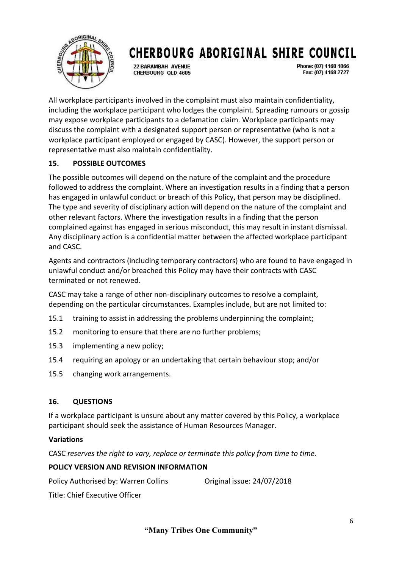

22 BARAMBAH AVENUE CHERBOURG OLD 4605 Phone: (07) 4168 1866 Fax: (07) 4168 2727

All workplace participants involved in the complaint must also maintain confidentiality, including the workplace participant who lodges the complaint. Spreading rumours or gossip may expose workplace participants to a defamation claim. Workplace participants may discuss the complaint with a designated support person or representative (who is not a workplace participant employed or engaged by CASC). However, the support person or representative must also maintain confidentiality.

## **15. POSSIBLE OUTCOMES**

The possible outcomes will depend on the nature of the complaint and the procedure followed to address the complaint. Where an investigation results in a finding that a person has engaged in unlawful conduct or breach of this Policy, that person may be disciplined. The type and severity of disciplinary action will depend on the nature of the complaint and other relevant factors. Where the investigation results in a finding that the person complained against has engaged in serious misconduct, this may result in instant dismissal. Any disciplinary action is a confidential matter between the affected workplace participant and CASC.

Agents and contractors (including temporary contractors) who are found to have engaged in unlawful conduct and/or breached this Policy may have their contracts with CASC terminated or not renewed.

CASC may take a range of other non-disciplinary outcomes to resolve a complaint, depending on the particular circumstances. Examples include, but are not limited to:

- 15.1 training to assist in addressing the problems underpinning the complaint;
- 15.2 monitoring to ensure that there are no further problems;
- 15.3 implementing a new policy;
- 15.4 requiring an apology or an undertaking that certain behaviour stop; and/or
- 15.5 changing work arrangements.

#### **16. QUESTIONS**

If a workplace participant is unsure about any matter covered by this Policy, a workplace participant should seek the assistance of Human Resources Manager.

#### **Variations**

CASC *reserves the right to vary, replace or terminate this policy from time to time.*

### **POLICY VERSION AND REVISION INFORMATION**

Policy Authorised by: Warren Collins Original issue: 24/07/2018

Title: Chief Executive Officer

**"Many Tribes One Community"**